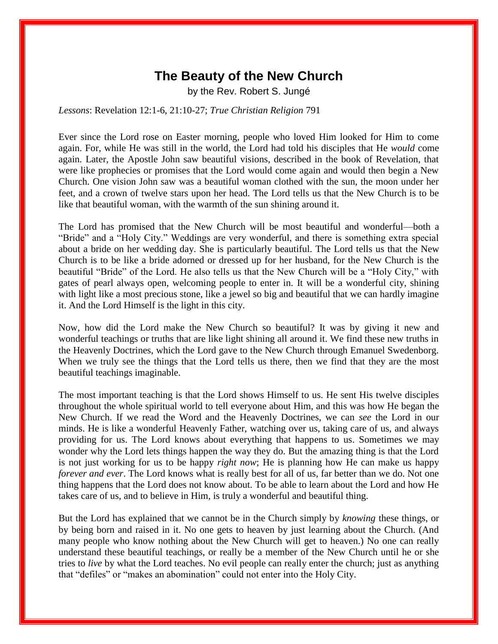## **The Beauty of the New Church**

by the Rev. Robert S. Jungé

*Lessons*: Revelation 12:1-6, 21:10-27; *True Christian Religion* 791

Ever since the Lord rose on Easter morning, people who loved Him looked for Him to come again. For, while He was still in the world, the Lord had told his disciples that He *would* come again. Later, the Apostle John saw beautiful visions, described in the book of Revelation, that were like prophecies or promises that the Lord would come again and would then begin a New Church. One vision John saw was a beautiful woman clothed with the sun, the moon under her feet, and a crown of twelve stars upon her head. The Lord tells us that the New Church is to be like that beautiful woman, with the warmth of the sun shining around it.

The Lord has promised that the New Church will be most beautiful and wonderful—both a "Bride" and a "Holy City." Weddings are very wonderful, and there is something extra special about a bride on her wedding day. She is particularly beautiful. The Lord tells us that the New Church is to be like a bride adorned or dressed up for her husband, for the New Church is the beautiful "Bride" of the Lord. He also tells us that the New Church will be a "Holy City," with gates of pearl always open, welcoming people to enter in. It will be a wonderful city, shining with light like a most precious stone, like a jewel so big and beautiful that we can hardly imagine it. And the Lord Himself is the light in this city.

Now, how did the Lord make the New Church so beautiful? It was by giving it new and wonderful teachings or truths that are like light shining all around it. We find these new truths in the Heavenly Doctrines, which the Lord gave to the New Church through Emanuel Swedenborg. When we truly see the things that the Lord tells us there, then we find that they are the most beautiful teachings imaginable.

The most important teaching is that the Lord shows Himself to us. He sent His twelve disciples throughout the whole spiritual world to tell everyone about Him, and this was how He began the New Church. If we read the Word and the Heavenly Doctrines, we can *see* the Lord in our minds. He is like a wonderful Heavenly Father, watching over us, taking care of us, and always providing for us. The Lord knows about everything that happens to us. Sometimes we may wonder why the Lord lets things happen the way they do. But the amazing thing is that the Lord is not just working for us to be happy *right now*; He is planning how He can make us happy *forever and ever*. The Lord knows what is really best for all of us, far better than we do. Not one thing happens that the Lord does not know about. To be able to learn about the Lord and how He takes care of us, and to believe in Him, is truly a wonderful and beautiful thing.

But the Lord has explained that we cannot be in the Church simply by *knowing* these things, or by being born and raised in it. No one gets to heaven by just learning about the Church. (And many people who know nothing about the New Church will get to heaven.) No one can really understand these beautiful teachings, or really be a member of the New Church until he or she tries to *live* by what the Lord teaches. No evil people can really enter the church; just as anything that "defiles" or "makes an abomination" could not enter into the Holy City.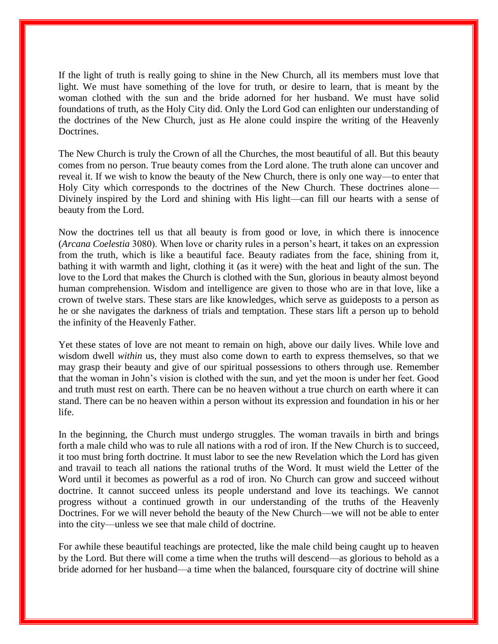If the light of truth is really going to shine in the New Church, all its members must love that light. We must have something of the love for truth, or desire to learn, that is meant by the woman clothed with the sun and the bride adorned for her husband. We must have solid foundations of truth, as the Holy City did. Only the Lord God can enlighten our understanding of the doctrines of the New Church, just as He alone could inspire the writing of the Heavenly Doctrines.

The New Church is truly the Crown of all the Churches, the most beautiful of all. But this beauty comes from no person. True beauty comes from the Lord alone. The truth alone can uncover and reveal it. If we wish to know the beauty of the New Church, there is only one way—to enter that Holy City which corresponds to the doctrines of the New Church. These doctrines alone— Divinely inspired by the Lord and shining with His light—can fill our hearts with a sense of beauty from the Lord.

Now the doctrines tell us that all beauty is from good or love, in which there is innocence (*Arcana Coelestia* 3080). When love or charity rules in a person's heart, it takes on an expression from the truth, which is like a beautiful face. Beauty radiates from the face, shining from it, bathing it with warmth and light, clothing it (as it were) with the heat and light of the sun. The love to the Lord that makes the Church is clothed with the Sun, glorious in beauty almost beyond human comprehension. Wisdom and intelligence are given to those who are in that love, like a crown of twelve stars. These stars are like knowledges, which serve as guideposts to a person as he or she navigates the darkness of trials and temptation. These stars lift a person up to behold the infinity of the Heavenly Father.

Yet these states of love are not meant to remain on high, above our daily lives. While love and wisdom dwell *within* us, they must also come down to earth to express themselves, so that we may grasp their beauty and give of our spiritual possessions to others through use. Remember that the woman in John's vision is clothed with the sun, and yet the moon is under her feet. Good and truth must rest on earth. There can be no heaven without a true church on earth where it can stand. There can be no heaven within a person without its expression and foundation in his or her life.

In the beginning, the Church must undergo struggles. The woman travails in birth and brings forth a male child who was to rule all nations with a rod of iron. If the New Church is to succeed, it too must bring forth doctrine. It must labor to see the new Revelation which the Lord has given and travail to teach all nations the rational truths of the Word. It must wield the Letter of the Word until it becomes as powerful as a rod of iron. No Church can grow and succeed without doctrine. It cannot succeed unless its people understand and love its teachings. We cannot progress without a continued growth in our understanding of the truths of the Heavenly Doctrines. For we will never behold the beauty of the New Church—we will not be able to enter into the city—unless we see that male child of doctrine.

For awhile these beautiful teachings are protected, like the male child being caught up to heaven by the Lord. But there will come a time when the truths will descend—as glorious to behold as a bride adorned for her husband—a time when the balanced, foursquare city of doctrine will shine